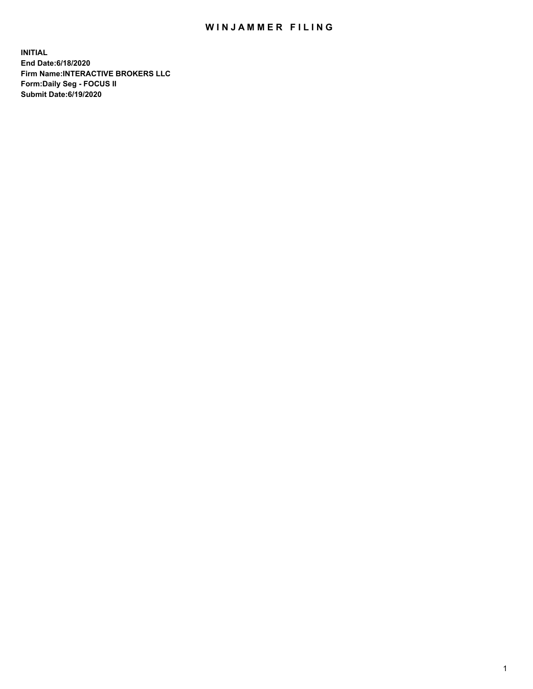## WIN JAMMER FILING

**INITIAL End Date:6/18/2020 Firm Name:INTERACTIVE BROKERS LLC Form:Daily Seg - FOCUS II Submit Date:6/19/2020**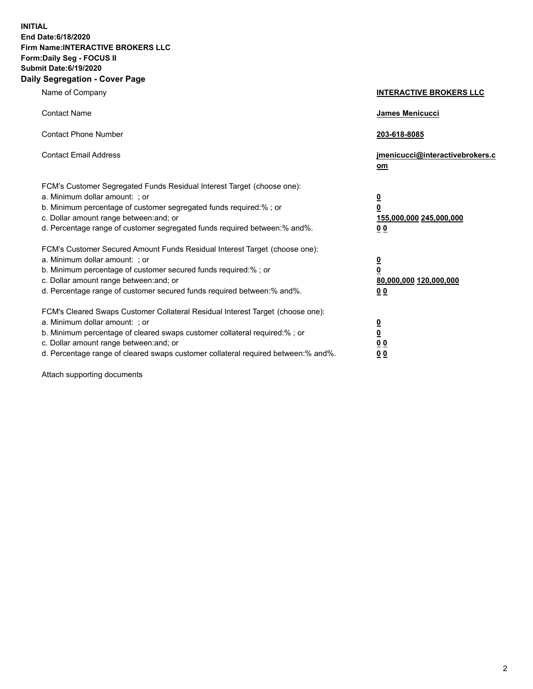**INITIAL End Date:6/18/2020 Firm Name:INTERACTIVE BROKERS LLC Form:Daily Seg - FOCUS II Submit Date:6/19/2020 Daily Segregation - Cover Page**

| Name of Company                                                                                                                                                                                                                                                                                                                | <b>INTERACTIVE BROKERS LLC</b>                                                   |
|--------------------------------------------------------------------------------------------------------------------------------------------------------------------------------------------------------------------------------------------------------------------------------------------------------------------------------|----------------------------------------------------------------------------------|
| <b>Contact Name</b>                                                                                                                                                                                                                                                                                                            | James Menicucci                                                                  |
| <b>Contact Phone Number</b>                                                                                                                                                                                                                                                                                                    | 203-618-8085                                                                     |
| <b>Contact Email Address</b>                                                                                                                                                                                                                                                                                                   | jmenicucci@interactivebrokers.c<br>om                                            |
| FCM's Customer Segregated Funds Residual Interest Target (choose one):<br>a. Minimum dollar amount: ; or<br>b. Minimum percentage of customer segregated funds required:% ; or<br>c. Dollar amount range between: and; or<br>d. Percentage range of customer segregated funds required between:% and%.                         | <u>0</u><br>$\overline{\mathbf{0}}$<br>155,000,000 245,000,000<br>0 <sub>0</sub> |
| FCM's Customer Secured Amount Funds Residual Interest Target (choose one):<br>a. Minimum dollar amount: ; or<br>b. Minimum percentage of customer secured funds required:% ; or<br>c. Dollar amount range between: and; or<br>d. Percentage range of customer secured funds required between:% and%.                           | <u>0</u><br>$\overline{\mathbf{0}}$<br>80,000,000 120,000,000<br>0 <sub>0</sub>  |
| FCM's Cleared Swaps Customer Collateral Residual Interest Target (choose one):<br>a. Minimum dollar amount: ; or<br>b. Minimum percentage of cleared swaps customer collateral required:% ; or<br>c. Dollar amount range between: and; or<br>d. Percentage range of cleared swaps customer collateral required between:% and%. | <u>0</u><br>$\underline{\mathbf{0}}$<br>0 <sub>0</sub><br>0 <sub>0</sub>         |

Attach supporting documents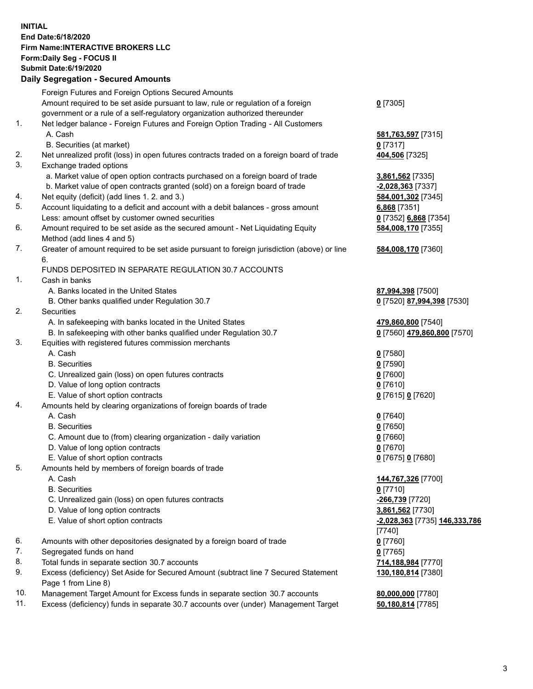## **INITIAL End Date:6/18/2020 Firm Name:INTERACTIVE BROKERS LLC Form:Daily Seg - FOCUS II Submit Date:6/19/2020 Daily Segregation - Secured Amounts**

|     | Daily Əeyleyatıolı - Əeculeu Allıoulits                                                                    |                                      |
|-----|------------------------------------------------------------------------------------------------------------|--------------------------------------|
|     | Foreign Futures and Foreign Options Secured Amounts                                                        |                                      |
|     | Amount required to be set aside pursuant to law, rule or regulation of a foreign                           | $0$ [7305]                           |
|     | government or a rule of a self-regulatory organization authorized thereunder                               |                                      |
| 1.  | Net ledger balance - Foreign Futures and Foreign Option Trading - All Customers                            |                                      |
|     | A. Cash                                                                                                    | 581,763,597 [7315]                   |
|     | B. Securities (at market)                                                                                  | $0$ [7317]                           |
| 2.  | Net unrealized profit (loss) in open futures contracts traded on a foreign board of trade                  | 404,506 [7325]                       |
| 3.  | Exchange traded options                                                                                    |                                      |
|     | a. Market value of open option contracts purchased on a foreign board of trade                             | 3,861,562 [7335]                     |
|     | b. Market value of open contracts granted (sold) on a foreign board of trade                               | -2,028,363 [7337]                    |
| 4.  | Net equity (deficit) (add lines 1. 2. and 3.)                                                              | 584,001,302 [7345]                   |
| 5.  | Account liquidating to a deficit and account with a debit balances - gross amount                          | 6,868 [7351]                         |
|     | Less: amount offset by customer owned securities                                                           | 0 [7352] 6,868 [7354]                |
| 6.  | Amount required to be set aside as the secured amount - Net Liquidating Equity                             | 584,008,170 [7355]                   |
|     | Method (add lines 4 and 5)                                                                                 |                                      |
| 7.  | Greater of amount required to be set aside pursuant to foreign jurisdiction (above) or line                | 584,008,170 [7360]                   |
|     | 6.                                                                                                         |                                      |
|     | FUNDS DEPOSITED IN SEPARATE REGULATION 30.7 ACCOUNTS                                                       |                                      |
| 1.  | Cash in banks                                                                                              |                                      |
|     | A. Banks located in the United States                                                                      | 87,994,398 [7500]                    |
|     | B. Other banks qualified under Regulation 30.7                                                             | 0 [7520] 87,994,398 [7530]           |
| 2.  | <b>Securities</b>                                                                                          |                                      |
|     | A. In safekeeping with banks located in the United States                                                  | 479,860,800 [7540]                   |
|     | B. In safekeeping with other banks qualified under Regulation 30.7                                         | 0 [7560] 479,860,800 [7570]          |
| 3.  | Equities with registered futures commission merchants                                                      |                                      |
|     | A. Cash                                                                                                    | $0$ [7580]                           |
|     | <b>B.</b> Securities                                                                                       | $0$ [7590]                           |
|     |                                                                                                            | $0$ [7600]                           |
|     | C. Unrealized gain (loss) on open futures contracts<br>D. Value of long option contracts                   | $0$ [7610]                           |
|     | E. Value of short option contracts                                                                         |                                      |
| 4.  | Amounts held by clearing organizations of foreign boards of trade                                          | 0 [7615] 0 [7620]                    |
|     | A. Cash                                                                                                    | $0$ [7640]                           |
|     | <b>B.</b> Securities                                                                                       |                                      |
|     | C. Amount due to (from) clearing organization - daily variation                                            | $0$ [7650]                           |
|     | D. Value of long option contracts                                                                          | $0$ [7660]<br>$0$ [7670]             |
|     | E. Value of short option contracts                                                                         | 0 [7675] 0 [7680]                    |
| 5.  |                                                                                                            |                                      |
|     | Amounts held by members of foreign boards of trade<br>A. Cash                                              | 144,767,326 [7700]                   |
|     | <b>B.</b> Securities                                                                                       |                                      |
|     | C. Unrealized gain (loss) on open futures contracts                                                        | $0$ [7710]                           |
|     |                                                                                                            | -266,739 [7720]                      |
|     | D. Value of long option contracts                                                                          | 3,861,562 [7730]                     |
|     | E. Value of short option contracts                                                                         | <u>-2,028,363</u> [7735] 146,333,786 |
| 6.  |                                                                                                            | $[7740]$                             |
| 7.  | Amounts with other depositories designated by a foreign board of trade                                     | $0$ [7760]                           |
| 8.  | Segregated funds on hand                                                                                   | $0$ [7765]                           |
| 9.  | Total funds in separate section 30.7 accounts                                                              | 714,188,984 [7770]                   |
|     | Excess (deficiency) Set Aside for Secured Amount (subtract line 7 Secured Statement<br>Page 1 from Line 8) | 130,180,814 [7380]                   |
| 10. | Management Target Amount for Excess funds in separate section 30.7 accounts                                | 80,000,000 [7780]                    |
| 11. | Excess (deficiency) funds in separate 30.7 accounts over (under) Management Target                         | 50,180,814 [7785]                    |
|     |                                                                                                            |                                      |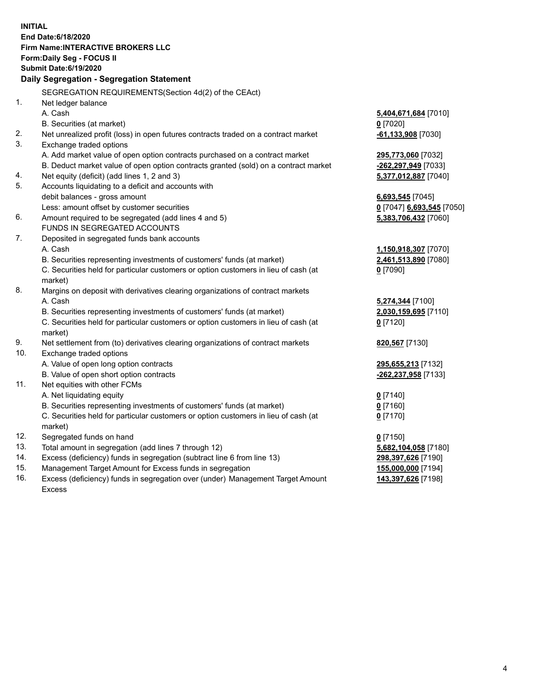**INITIAL End Date:6/18/2020 Firm Name:INTERACTIVE BROKERS LLC Form:Daily Seg - FOCUS II Submit Date:6/19/2020 Daily Segregation - Segregation Statement** SEGREGATION REQUIREMENTS(Section 4d(2) of the CEAct) 1. Net ledger balance A. Cash **5,404,671,684** [7010] B. Securities (at market) **0** [7020] 2. Net unrealized profit (loss) in open futures contracts traded on a contract market **-61,133,908** [7030] 3. Exchange traded options A. Add market value of open option contracts purchased on a contract market **295,773,060** [7032] B. Deduct market value of open option contracts granted (sold) on a contract market **-262,297,949** [7033] 4. Net equity (deficit) (add lines 1, 2 and 3) **5,377,012,887** [7040] 5. Accounts liquidating to a deficit and accounts with debit balances - gross amount **6,693,545** [7045] Less: amount offset by customer securities **0** [7047] **6,693,545** [7050] 6. Amount required to be segregated (add lines 4 and 5) **5,383,706,432** [7060] FUNDS IN SEGREGATED ACCOUNTS 7. Deposited in segregated funds bank accounts A. Cash **1,150,918,307** [7070] B. Securities representing investments of customers' funds (at market) **2,461,513,890** [7080] C. Securities held for particular customers or option customers in lieu of cash (at market) **0** [7090] 8. Margins on deposit with derivatives clearing organizations of contract markets A. Cash **5,274,344** [7100] B. Securities representing investments of customers' funds (at market) **2,030,159,695** [7110] C. Securities held for particular customers or option customers in lieu of cash (at market) **0** [7120] 9. Net settlement from (to) derivatives clearing organizations of contract markets **820,567** [7130] 10. Exchange traded options A. Value of open long option contracts **295,655,213** [7132] B. Value of open short option contracts **-262,237,958** [7133] 11. Net equities with other FCMs A. Net liquidating equity **0** [7140] B. Securities representing investments of customers' funds (at market) **0** [7160] C. Securities held for particular customers or option customers in lieu of cash (at market) **0** [7170] 12. Segregated funds on hand **0** [7150] 13. Total amount in segregation (add lines 7 through 12) **5,682,104,058** [7180] 14. Excess (deficiency) funds in segregation (subtract line 6 from line 13) **298,397,626** [7190] 15. Management Target Amount for Excess funds in segregation **155,000,000** [7194] 16. Excess (deficiency) funds in segregation over (under) Management Target Amount Excess **143,397,626** [7198]